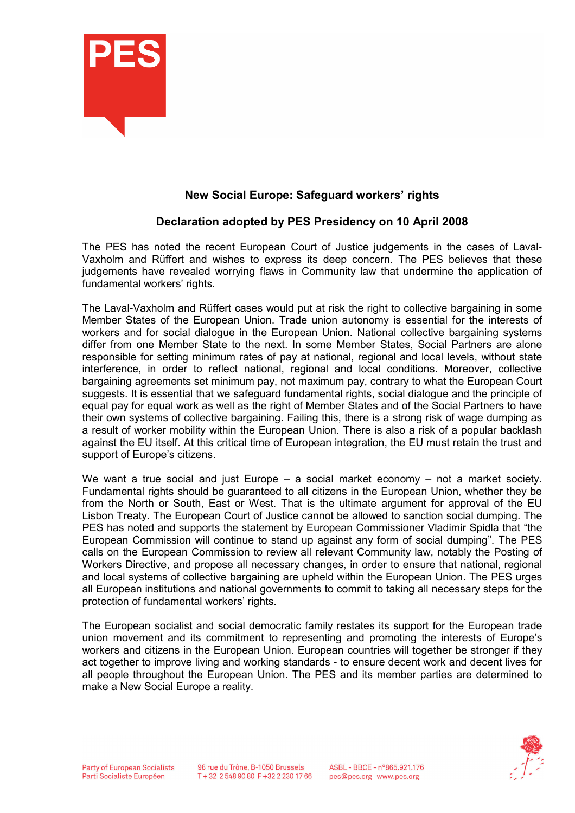

## New Social Europe: Safeguard workers' rights

## Declaration adopted by PES Presidency on 10 April 2008

The PES has noted the recent European Court of Justice judgements in the cases of Laval-Vaxholm and Rüffert and wishes to express its deep concern. The PES believes that these judgements have revealed worrying flaws in Community law that undermine the application of fundamental workers' rights.

The Laval-Vaxholm and Rüffert cases would put at risk the right to collective bargaining in some Member States of the European Union. Trade union autonomy is essential for the interests of workers and for social dialogue in the European Union. National collective bargaining systems differ from one Member State to the next. In some Member States, Social Partners are alone responsible for setting minimum rates of pay at national, regional and local levels, without state interference, in order to reflect national, regional and local conditions. Moreover, collective bargaining agreements set minimum pay, not maximum pay, contrary to what the European Court suggests. It is essential that we safeguard fundamental rights, social dialogue and the principle of equal pay for equal work as well as the right of Member States and of the Social Partners to have their own systems of collective bargaining. Failing this, there is a strong risk of wage dumping as a result of worker mobility within the European Union. There is also a risk of a popular backlash against the EU itself. At this critical time of European integration, the EU must retain the trust and support of Europe's citizens.

We want a true social and just Europe  $-$  a social market economy  $-$  not a market society. Fundamental rights should be guaranteed to all citizens in the European Union, whether they be from the North or South, East or West. That is the ultimate argument for approval of the EU Lisbon Treaty. The European Court of Justice cannot be allowed to sanction social dumping. The PES has noted and supports the statement by European Commissioner Vladimir Spidla that "the European Commission will continue to stand up against any form of social dumping". The PES calls on the European Commission to review all relevant Community law, notably the Posting of Workers Directive, and propose all necessary changes, in order to ensure that national, regional and local systems of collective bargaining are upheld within the European Union. The PES urges all European institutions and national governments to commit to taking all necessary steps for the protection of fundamental workers' rights.

The European socialist and social democratic family restates its support for the European trade union movement and its commitment to representing and promoting the interests of Europe's workers and citizens in the European Union. European countries will together be stronger if they act together to improve living and working standards - to ensure decent work and decent lives for all people throughout the European Union. The PES and its member parties are determined to make a New Social Europe a reality.